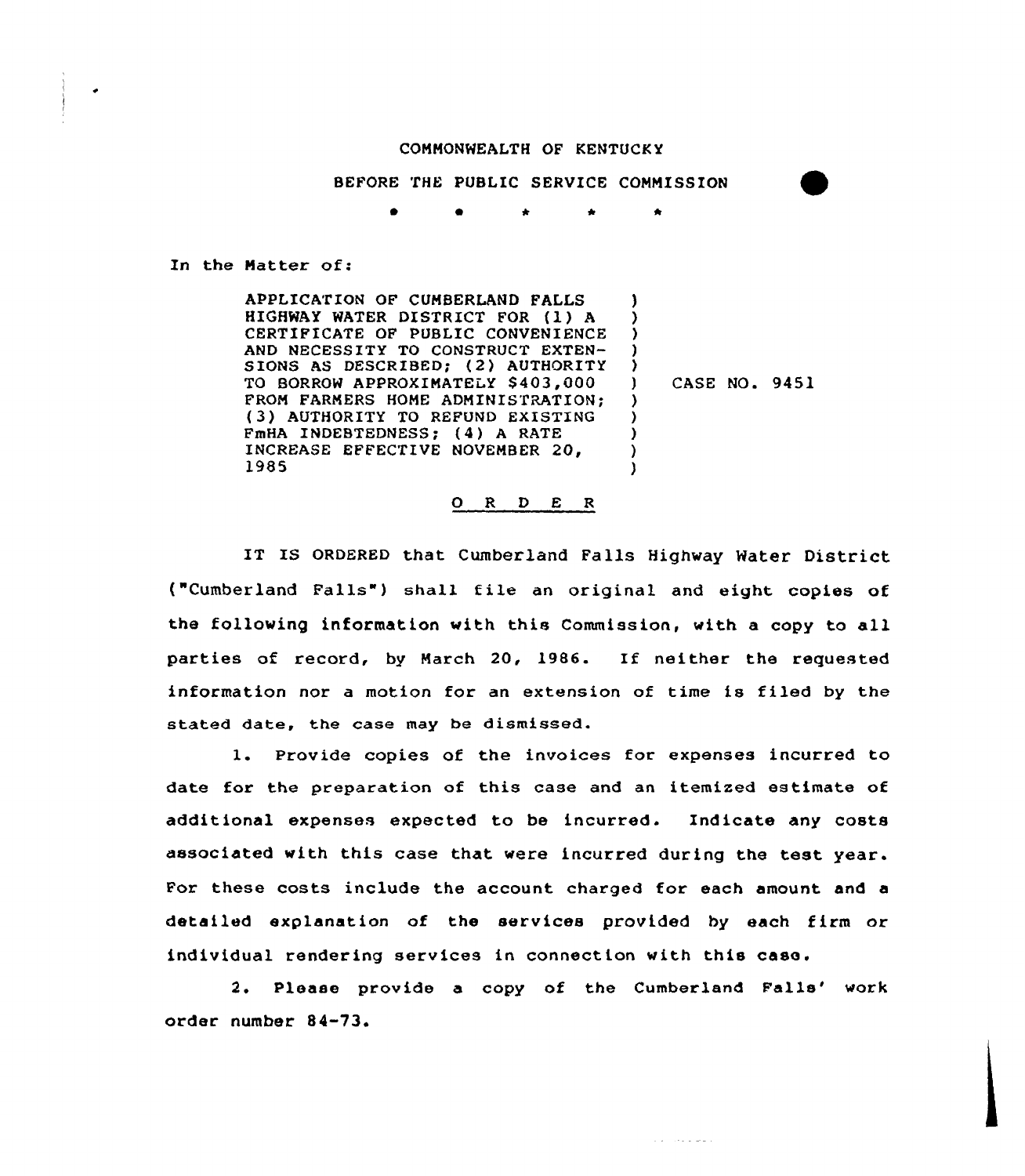## COMMONWEALTH OF KENTUCKY

BEFORE THE PUBLIC SERVICE COMMISSION

0 \* \*

In the Matter of:

APPLICATION OF CUMBERLAND FALLS HIGHWAY WATER DISTRICT FOR (l) <sup>A</sup> CERTIFICATE OF PUBLIC CONVENIENCE AND NECESSITY TO CONSTRUCT EXTEN-SIONS AS DESCRIBED; (2) AUTHORITY TO BORROW APPROXIMATELY \$403,000 FROM FARMERS HOME ADMINISTRATION: (3) AUTHORITY TO REFUND EXISTING FmHA INDEBTEDNESS; {4) <sup>A</sup> RATE INCREASE EFFECTIVE NOVEMBER 20, 19S5 3 ) ) ) )<br>) ) CASE NO. 9451 ) ) ) ) )

## 0 <sup>R</sup> <sup>D</sup> E <sup>R</sup>

IT IS ORDERED that Cumberland Falls Highway Water District ("Cumberland Falls") shall file an original and eight copies of the folloving information with this Commission, with a copy to all parties of record, by March 20, 1986. If neither the requested information nor a motion for an extension of time is filed by the stated date, the case may be dismissed.

1. Provide copies of the invoices for expenses incurred to date for the preparation of this case and an itemized estimate of additional expenses expected to be incurred. Indicate any costs associated with this case that vere incurred during the test year. For these costs include the account charged for each amount and a detailed explanation of the services provided by each firm or individual rendering services in connection with this case.

2. Please provide a copy of the Cumberland Falls' work order number 84-73.

and the property